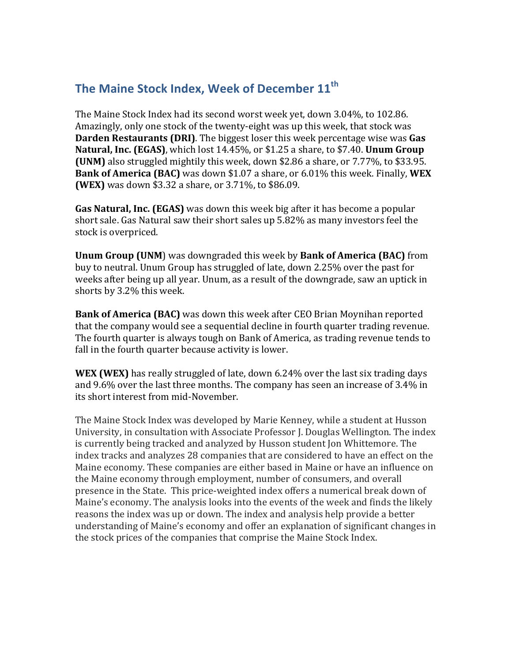## The Maine Stock Index, Week of December 11<sup>th</sup>

The Maine Stock Index had its second worst week yet, down 3.04%, to 102.86. Amazingly, only one stock of the twenty-eight was up this week, that stock was **Darden Restaurants (DRI)**. The biggest loser this week percentage wise was Gas **Natural, Inc. (EGAS)**, which lost 14.45%, or \$1.25 a share, to \$7.40. **Unum Group (UNM)** also struggled mightily this week, down \$2.86 a share, or 7.77%, to \$33.95. **Bank of America (BAC)** was down \$1.07 a share, or 6.01% this week. Finally, **WEX (WEX)** was down \$3.32 a share, or 3.71%, to \$86.09.

**Gas Natural, Inc. (EGAS)** was down this week big after it has become a popular short sale. Gas Natural saw their short sales up 5.82% as many investors feel the stock is overpriced.

**Unum Group (UNM)** was downgraded this week by Bank of America (BAC) from buy to neutral. Unum Group has struggled of late, down 2.25% over the past for weeks after being up all year. Unum, as a result of the downgrade, saw an uptick in shorts by 3.2% this week.

**Bank of America (BAC)** was down this week after CEO Brian Moynihan reported that the company would see a sequential decline in fourth quarter trading revenue. The fourth quarter is always tough on Bank of America, as trading revenue tends to fall in the fourth quarter because activity is lower.

**WEX** (WEX) has really struggled of late, down 6.24% over the last six trading days and 9.6% over the last three months. The company has seen an increase of 3.4% in its short interest from mid-November.

The Maine Stock Index was developed by Marie Kenney, while a student at Husson University, in consultation with Associate Professor J. Douglas Wellington. The index is currently being tracked and analyzed by Husson student Jon Whittemore. The index tracks and analyzes 28 companies that are considered to have an effect on the Maine economy. These companies are either based in Maine or have an influence on the Maine economy through employment, number of consumers, and overall presence in the State. This price-weighted index offers a numerical break down of Maine's economy. The analysis looks into the events of the week and finds the likely reasons the index was up or down. The index and analysis help provide a better understanding of Maine's economy and offer an explanation of significant changes in the stock prices of the companies that comprise the Maine Stock Index.